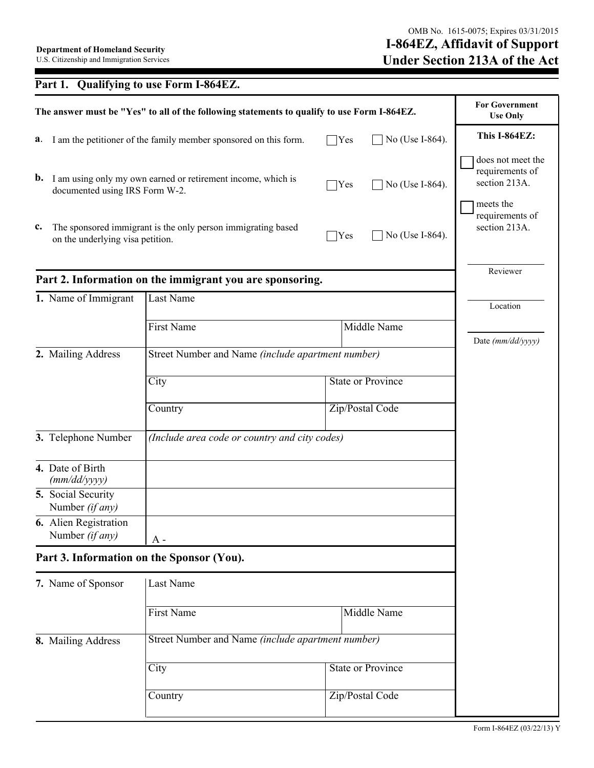# **Part 1. Qualifying to use Form I-864EZ. For Government Use Only The answer must be "Yes" to all of the following statements to qualify to use Form I-864EZ. Part 2. Information on the immigrant you are sponsoring. This I-864EZ: a**. Middle Name **1.** Name of Immigrant **Part 3. Information on the Sponsor (You).** I am the petitioner of the family member sponsored on this form. **b.** I am using only my own earned or retirement income, which is documented using IRS Form W-2. **c.** The sponsored immigrant is the only person immigrating based on the underlying visa petition. Last Name First Name State or Province **2.** Mailing Address Street Number and Name *(include apartment number)* **City** Country **Zip/Postal Code 3.** Telephone Number *(Include area code or country and city codes)* **4.** Date of Birth *(mm/dd/yyyy)* **5.** Social Security Number *(if any)* **6.** Alien Registration Number  $(if any)$   $A -$ Middle Name **7.** Name of Sponsor | Last Name First Name State or Province **8.** Mailing Address Street Number and Name *(include apartment number)* **City** does not meet the requirements of section 213A. meets the requirements of section 213A. Reviewer Location Date *(mm/dd/yyyy)*  $\Box$ Yes  $\Box$  No (Use I-864).  $\Box$ Yes  $\Box$  No (Use I-864).  $\Box$ Yes  $\Box$  No (Use I-864).

Country Zip/Postal Code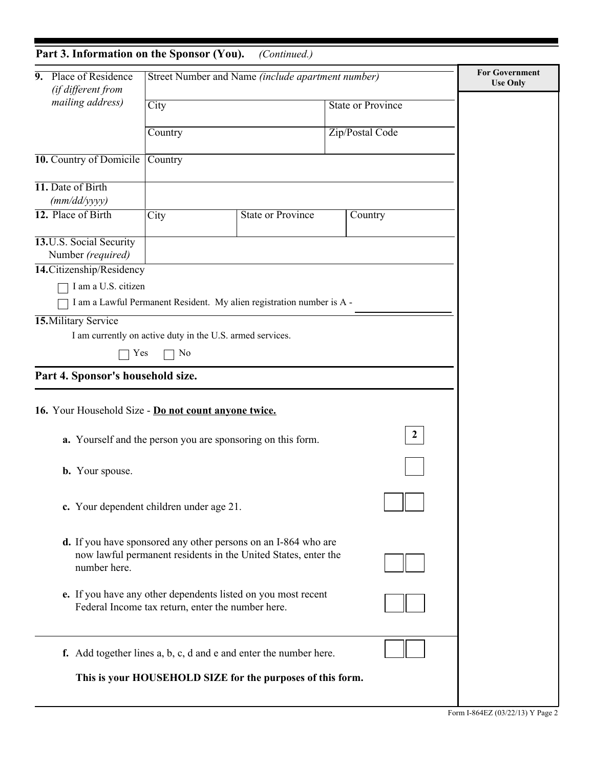| Part 3. Information on the Sponsor (You).                                                                                                        |                                                                       | (Continued.)             |  |                          |                                          |
|--------------------------------------------------------------------------------------------------------------------------------------------------|-----------------------------------------------------------------------|--------------------------|--|--------------------------|------------------------------------------|
| 9. Place of Residence<br>(if different from                                                                                                      | Street Number and Name (include apartment number)                     |                          |  |                          | <b>For Government</b><br><b>Use Only</b> |
| mailing address)                                                                                                                                 | City                                                                  |                          |  | <b>State or Province</b> |                                          |
|                                                                                                                                                  | Country                                                               |                          |  | Zip/Postal Code          |                                          |
| 10. Country of Domicile                                                                                                                          | Country                                                               |                          |  |                          |                                          |
| 11. Date of Birth<br>(mm/dd/yyyy)                                                                                                                |                                                                       |                          |  |                          |                                          |
| 12. Place of Birth                                                                                                                               | City                                                                  | <b>State or Province</b> |  | Country                  |                                          |
| 13.U.S. Social Security<br>Number (required)                                                                                                     |                                                                       |                          |  |                          |                                          |
| 14. Citizenship/Residency<br>I am a U.S. citizen                                                                                                 | I am a Lawful Permanent Resident. My alien registration number is A - |                          |  |                          |                                          |
| 15. Military Service<br>Yes                                                                                                                      | I am currently on active duty in the U.S. armed services.<br>No       |                          |  |                          |                                          |
| Part 4. Sponsor's household size.                                                                                                                |                                                                       |                          |  |                          |                                          |
| 16. Your Household Size - Do not count anyone twice.                                                                                             |                                                                       |                          |  |                          |                                          |
| $\overline{2}$<br>a. Yourself and the person you are sponsoring on this form.                                                                    |                                                                       |                          |  |                          |                                          |
| <b>b.</b> Your spouse.                                                                                                                           |                                                                       |                          |  |                          |                                          |
| c. Your dependent children under age 21.                                                                                                         |                                                                       |                          |  |                          |                                          |
| d. If you have sponsored any other persons on an I-864 who are<br>now lawful permanent residents in the United States, enter the<br>number here. |                                                                       |                          |  |                          |                                          |
| e. If you have any other dependents listed on you most recent<br>Federal Income tax return, enter the number here.                               |                                                                       |                          |  |                          |                                          |
|                                                                                                                                                  | f. Add together lines a, b, c, d and e and enter the number here.     |                          |  |                          |                                          |
|                                                                                                                                                  | This is your HOUSEHOLD SIZE for the purposes of this form.            |                          |  |                          |                                          |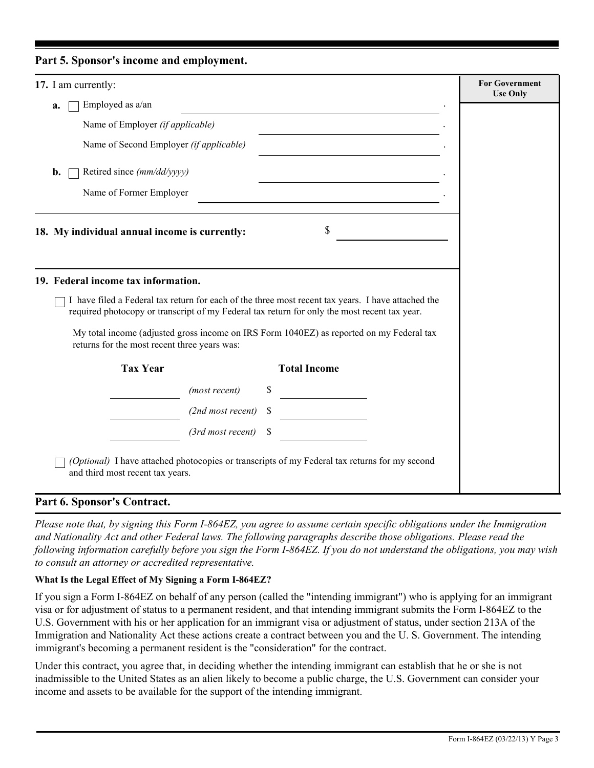## **Part 5. Sponsor's income and employment.**

| 17. I am currently:                                                                                                                                                                                | <b>For Government</b><br><b>Use Only</b> |
|----------------------------------------------------------------------------------------------------------------------------------------------------------------------------------------------------|------------------------------------------|
| Employed as a/an<br>a.                                                                                                                                                                             |                                          |
| Name of Employer (if applicable)                                                                                                                                                                   |                                          |
| Name of Second Employer (if applicable)<br>the control of the control of the control of the control of the control of                                                                              |                                          |
| Retired since (mm/dd/yyyy)<br>b.                                                                                                                                                                   |                                          |
| Name of Former Employer                                                                                                                                                                            |                                          |
| \$<br>18. My individual annual income is currently:                                                                                                                                                |                                          |
| 19. Federal income tax information.                                                                                                                                                                |                                          |
| I have filed a Federal tax return for each of the three most recent tax years. I have attached the<br>required photocopy or transcript of my Federal tax return for only the most recent tax year. |                                          |
| My total income (adjusted gross income on IRS Form 1040EZ) as reported on my Federal tax<br>returns for the most recent three years was:                                                           |                                          |
| <b>Total Income</b><br><b>Tax Year</b>                                                                                                                                                             |                                          |
| (most recent)<br>\$                                                                                                                                                                                |                                          |
| (2nd most recent)                                                                                                                                                                                  |                                          |
| (3rd most recent)<br>$\mathbb{S}$                                                                                                                                                                  |                                          |
| (Optional) I have attached photocopies or transcripts of my Federal tax returns for my second<br>and third most recent tax years.                                                                  |                                          |

## **Part 6. Sponsor's Contract.**

*Please note that, by signing this Form I-864EZ, you agree to assume certain specific obligations under the Immigration and Nationality Act and other Federal laws. The following paragraphs describe those obligations. Please read the following information carefully before you sign the Form I-864EZ. If you do not understand the obligations, you may wish to consult an attorney or accredited representative.*

## **What Is the Legal Effect of My Signing a Form I-864EZ?**

If you sign a Form I-864EZ on behalf of any person (called the "intending immigrant") who is applying for an immigrant visa or for adjustment of status to a permanent resident, and that intending immigrant submits the Form I-864EZ to the U.S. Government with his or her application for an immigrant visa or adjustment of status, under section 213A of the Immigration and Nationality Act these actions create a contract between you and the U. S. Government. The intending immigrant's becoming a permanent resident is the "consideration" for the contract.

Under this contract, you agree that, in deciding whether the intending immigrant can establish that he or she is not inadmissible to the United States as an alien likely to become a public charge, the U.S. Government can consider your income and assets to be available for the support of the intending immigrant.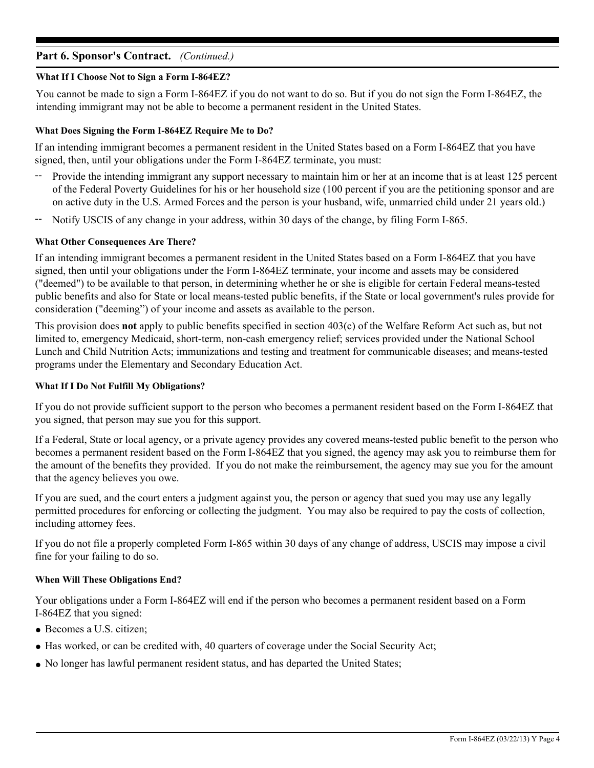# **Part 6. Sponsor's Contract.** *(Continued.)*

## **What If I Choose Not to Sign a Form I-864EZ?**

You cannot be made to sign a Form I-864EZ if you do not want to do so. But if you do not sign the Form I-864EZ, the intending immigrant may not be able to become a permanent resident in the United States.

### **What Does Signing the Form I-864EZ Require Me to Do?**

If an intending immigrant becomes a permanent resident in the United States based on a Form I-864EZ that you have signed, then, until your obligations under the Form I-864EZ terminate, you must:

- Provide the intending immigrant any support necessary to maintain him or her at an income that is at least 125 percent of the Federal Poverty Guidelines for his or her household size (100 percent if you are the petitioning sponsor and are on active duty in the U.S. Armed Forces and the person is your husband, wife, unmarried child under 21 years old.)
- -- Notify USCIS of any change in your address, within 30 days of the change, by filing Form I-865.

#### **What Other Consequences Are There?**

If an intending immigrant becomes a permanent resident in the United States based on a Form I-864EZ that you have signed, then until your obligations under the Form I-864EZ terminate, your income and assets may be considered ("deemed") to be available to that person, in determining whether he or she is eligible for certain Federal means-tested public benefits and also for State or local means-tested public benefits, if the State or local government's rules provide for consideration ("deeming") of your income and assets as available to the person.

This provision does **not** apply to public benefits specified in section 403(c) of the Welfare Reform Act such as, but not limited to, emergency Medicaid, short-term, non-cash emergency relief; services provided under the National School Lunch and Child Nutrition Acts; immunizations and testing and treatment for communicable diseases; and means-tested programs under the Elementary and Secondary Education Act.

#### **What If I Do Not Fulfill My Obligations?**

If you do not provide sufficient support to the person who becomes a permanent resident based on the Form I-864EZ that you signed, that person may sue you for this support.

If a Federal, State or local agency, or a private agency provides any covered means-tested public benefit to the person who becomes a permanent resident based on the Form I-864EZ that you signed, the agency may ask you to reimburse them for the amount of the benefits they provided. If you do not make the reimbursement, the agency may sue you for the amount that the agency believes you owe.

If you are sued, and the court enters a judgment against you, the person or agency that sued you may use any legally permitted procedures for enforcing or collecting the judgment. You may also be required to pay the costs of collection, including attorney fees.

If you do not file a properly completed Form I-865 within 30 days of any change of address, USCIS may impose a civil fine for your failing to do so.

#### **When Will These Obligations End?**

Your obligations under a Form I-864EZ will end if the person who becomes a permanent resident based on a Form I-864EZ that you signed:

- Becomes a U.S. citizen;
- Has worked, or can be credited with, 40 quarters of coverage under the Social Security Act;
- No longer has lawful permanent resident status, and has departed the United States;